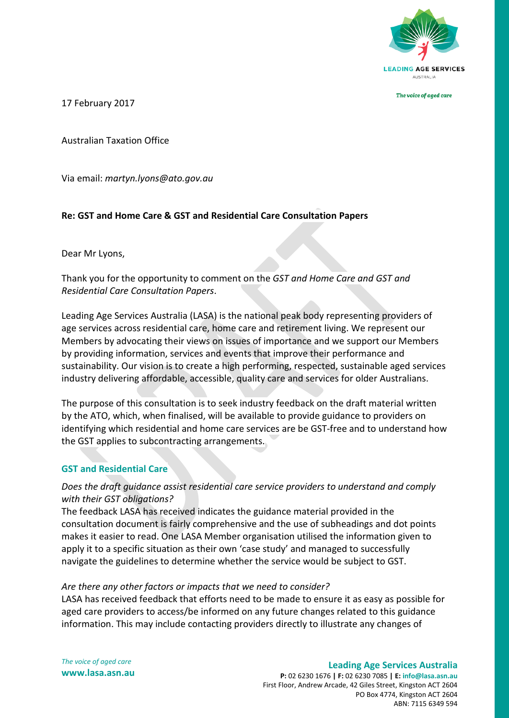

The voice of aged care

17 February 2017

Australian Taxation Office

Via email: *[martyn.lyons@ato.gov.au](mailto:martyn.lyons@ato.gov.au)*

## **Re: GST and Home Care & GST and Residential Care Consultation Papers**

Dear Mr Lyons,

Thank you for the opportunity to comment on the *GST and Home Care and GST and Residential Care Consultation Papers*.

Leading Age Services Australia (LASA) is the national peak body representing providers of age services across residential care, home care and retirement living. We represent our Members by advocating their views on issues of importance and we support our Members by providing information, services and events that improve their performance and sustainability. Our vision is to create a high performing, respected, sustainable aged services industry delivering affordable, accessible, quality care and services for older Australians.

The purpose of this consultation is to seek industry feedback on the draft material written by the ATO, which, when finalised, will be available to provide guidance to providers on identifying which residential and home care services are be GST-free and to understand how the GST applies to subcontracting arrangements.

### **GST and Residential Care**

## *Does the draft guidance assist residential care service providers to understand and comply with their GST obligations?*

The feedback LASA has received indicates the guidance material provided in the consultation document is fairly comprehensive and the use of subheadings and dot points makes it easier to read. One LASA Member organisation utilised the information given to apply it to a specific situation as their own 'case study' and managed to successfully navigate the guidelines to determine whether the service would be subject to GST.

### *Are there any other factors or impacts that we need to consider?*

LASA has received feedback that efforts need to be made to ensure it as easy as possible for aged care providers to access/be informed on any future changes related to this guidance information. This may include contacting providers directly to illustrate any changes of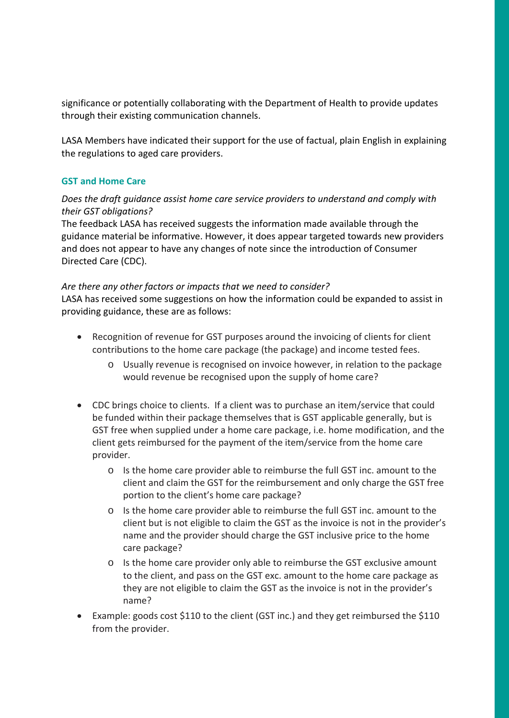significance or potentially collaborating with the Department of Health to provide updates through their existing communication channels.

LASA Members have indicated their support for the use of factual, plain English in explaining the regulations to aged care providers.

# **GST and Home Care**

# *Does the draft guidance assist home care service providers to understand and comply with their GST obligations?*

The feedback LASA has received suggests the information made available through the guidance material be informative. However, it does appear targeted towards new providers and does not appear to have any changes of note since the introduction of Consumer Directed Care (CDC).

### *Are there any other factors or impacts that we need to consider?*

LASA has received some suggestions on how the information could be expanded to assist in providing guidance, these are as follows:

- Recognition of revenue for GST purposes around the invoicing of clients for client contributions to the home care package (the package) and income tested fees.
	- o Usually revenue is recognised on invoice however, in relation to the package would revenue be recognised upon the supply of home care?
- CDC brings choice to clients. If a client was to purchase an item/service that could be funded within their package themselves that is GST applicable generally, but is GST free when supplied under a home care package, i.e. home modification, and the client gets reimbursed for the payment of the item/service from the home care provider.
	- o Is the home care provider able to reimburse the full GST inc. amount to the client and claim the GST for the reimbursement and only charge the GST free portion to the client's home care package?
	- o Is the home care provider able to reimburse the full GST inc. amount to the client but is not eligible to claim the GST as the invoice is not in the provider's name and the provider should charge the GST inclusive price to the home care package?
	- o Is the home care provider only able to reimburse the GST exclusive amount to the client, and pass on the GST exc. amount to the home care package as they are not eligible to claim the GST as the invoice is not in the provider's name?
- Example: goods cost \$110 to the client (GST inc.) and they get reimbursed the \$110 from the provider.